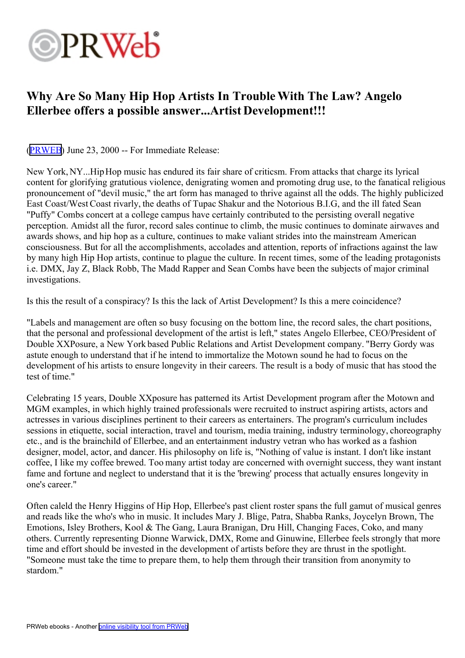## **OPRWeb**

## **Why Are So Many Hip Hop Artists In TroubleWith The Law? Angelo Ellerbee offers <sup>a</sup> possible answer...Artist Development!!!**

([PRWEB\)](http://www.prweb.com) June 23, 2000 -- For Immediate Release:

New York, NY...HipHop music has endured its fair share of criticsm. From attacks that charge its lyrical content for glorifying gratutious violence, denigrating women and promoting drug use, to the fanatical religious pronouncemen<sup>t</sup> of "devil music," the art form has managed to thrive against all the odds. The highly publicized East Coast/West Coast rivarly, the deaths of Tupac Shakur and the Notorious B.I.G, and the ill fated Sean "Puffy" Combs concert at <sup>a</sup> college campus have certainly contributed to the persisting overall negative perception. Amidst all the furor, record sales continue to climb, the music continues to dominate airwaves and awards shows, and hip hop as <sup>a</sup> culture, continues to make valiant strides into the mainstream American consciousness. But for all the accomplishments, accolades and attention, reports of infractions against the law by many high Hip Hop artists, continue to plague the culture. In recent times, some of the leading protagonists i.e. DMX, Jay Z, Black Robb, The Madd Rapper and Sean Combs have been the subjects of major criminal investigations.

Is this the result of <sup>a</sup> conspiracy? Is this the lack of Artist Development? Is this <sup>a</sup> mere coincidence?

"Labels and managemen<sup>t</sup> are often so busy focusing on the bottom line, the record sales, the chart positions, that the personal and professional development of the artist is left," states Angelo Ellerbee, CEO/President of Double XXPosure, <sup>a</sup> New York based Public Relations and Artist Development company. "Berry Gordy was astute enough to understand that if he intend to immortalize the Motown sound he had to focus on the development of his artists to ensure longevity in their careers. The result is <sup>a</sup> body of music that has stood the test of time."

Celebrating 15 years, Double XXposure has patterned its Artist Development program after the Motown and MGM examples, in which highly trained professionals were recruited to instruct aspiring artists, actors and actresses in various disciplines pertinent to their careers as entertainers. The program's curriculum includes sessions in etiquette, social interaction, travel and tourism, media training, industry terminology, choreography etc., and is the brainchild of Ellerbee, and an entertainment industry vetran who has worked as <sup>a</sup> fashion designer, model, actor, and dancer. His philosophy on life is, "Nothing of value is instant. I don't like instant coffee, I like my coffee brewed. Too many artist today are concerned with overnight success, they want instant fame and fortune and neglect to understand that it is the 'brewing' process that actually ensures longevity in one's career."

Often caleld the Henry Higgins of Hip Hop, Ellerbee's pas<sup>t</sup> client roster spans the full gamu<sup>t</sup> of musical genres and reads like the who's who in music. It includes Mary J. Blige, Patra, Shabba Ranks, Joycelyn Brown, The Emotions, Isley Brothers, Kool & The Gang, Laura Branigan, Dru Hill, Changing Faces, Coko, and many others. Currently representing Dionne Warwick, DMX, Rome and Ginuwine, Ellerbee feels strongly that more time and effort should be invested in the development of artists before they are thrust in the spotlight. "Someone must take the time to prepare them, to help them through their transition from anonymity to stardom."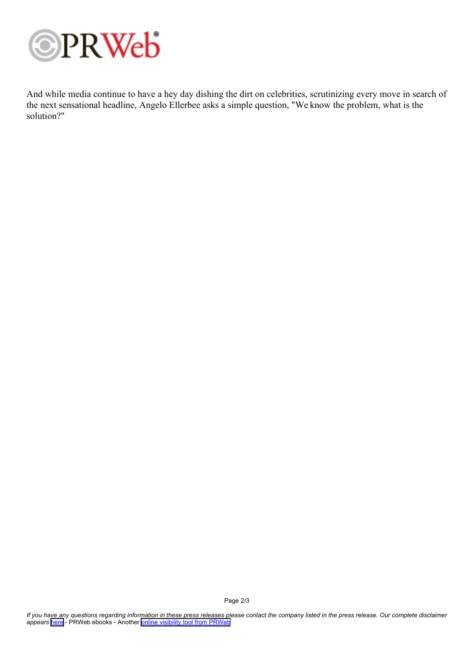

And while media continue to have <sup>a</sup> hey day dishing the dirt on celebrities, scrutinizing every move in search of the next sensational headline, Angelo Ellerbee asks <sup>a</sup> simple question, "We know the problem, what is the solution?"